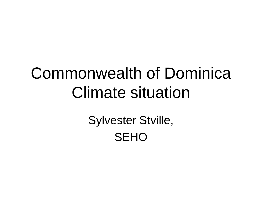## Commonwealth of Dominica Climate situation

Sylvester Stville, **SEHO**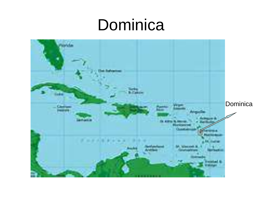#### Dominica

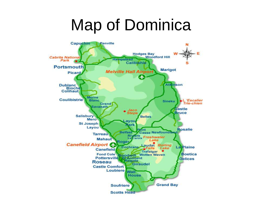### Map of Dominica

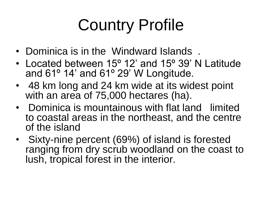# Country Profile

- Dominica is in the Windward Islands .
- Located between 15<sup>o</sup> 12' and 15<sup>o</sup> 39' N Latitude and 61º 14' and 61º 29' W Longitude.
- 48 km long and 24 km wide at its widest point with an area of 75,000 hectares (ha).
- Dominica is mountainous with flat land limited to coastal areas in the northeast, and the centre of the island
- Sixty-nine percent (69%) of island is forested ranging from dry scrub woodland on the coast to lush, tropical forest in the interior.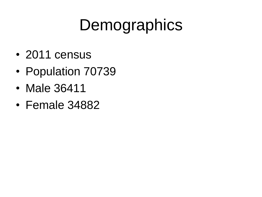# **Demographics**

- 2011 census
- Population 70739
- Male 36411
- Female 34882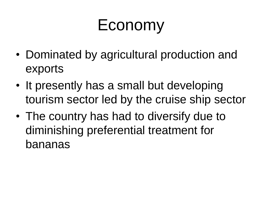## Economy

- Dominated by agricultural production and exports
- It presently has a small but developing tourism sector led by the cruise ship sector
- The country has had to diversify due to diminishing preferential treatment for bananas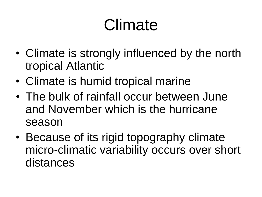# Climate

- Climate is strongly influenced by the north tropical Atlantic
- Climate is humid tropical marine
- The bulk of rainfall occur between June and November which is the hurricane season
- Because of its rigid topography climate micro-climatic variability occurs over short distances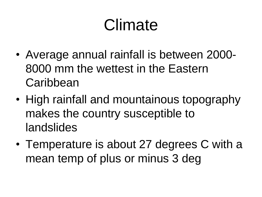# Climate

- Average annual rainfall is between 2000- 8000 mm the wettest in the Eastern **Caribbean**
- High rainfall and mountainous topography makes the country susceptible to landslides
- Temperature is about 27 degrees C with a mean temp of plus or minus 3 deg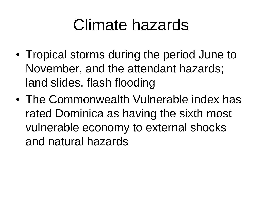#### Climate hazards

- Tropical storms during the period June to November, and the attendant hazards; land slides, flash flooding
- The Commonwealth Vulnerable index has rated Dominica as having the sixth most vulnerable economy to external shocks and natural hazards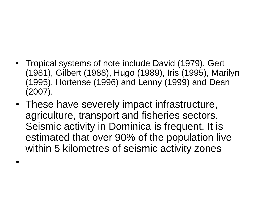- Tropical systems of note include David (1979), Gert (1981), Gilbert (1988), Hugo (1989), Iris (1995), Marilyn (1995), Hortense (1996) and Lenny (1999) and Dean (2007).
- These have severely impact infrastructure, agriculture, transport and fisheries sectors. Seismic activity in Dominica is frequent. It is estimated that over 90% of the population live within 5 kilometres of seismic activity zones

•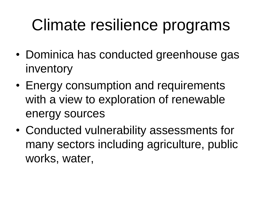# Climate resilience programs

- Dominica has conducted greenhouse gas inventory
- Energy consumption and requirements with a view to exploration of renewable energy sources
- Conducted vulnerability assessments for many sectors including agriculture, public works, water,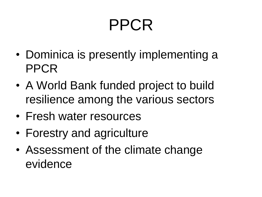# PPCR

- Dominica is presently implementing a PPCR
- A World Bank funded project to build resilience among the various sectors
- Fresh water resources
- Forestry and agriculture
- Assessment of the climate change evidence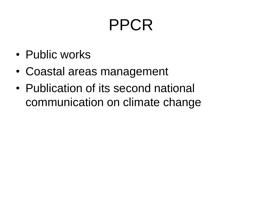# PPCR

- Public works
- Coastal areas management
- Publication of its second national communication on climate change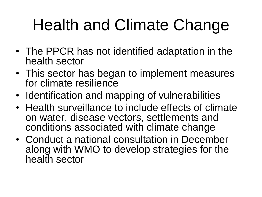# Health and Climate Change

- The PPCR has not identified adaptation in the health sector
- This sector has began to implement measures for climate resilience
- Identification and mapping of vulnerabilities
- Health surveillance to include effects of climate on water, disease vectors, settlements and conditions associated with climate change
- Conduct a national consultation in December along with WMO to develop strategies for the health sector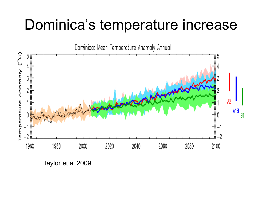#### Dominica's temperature increase



Taylor et al 2009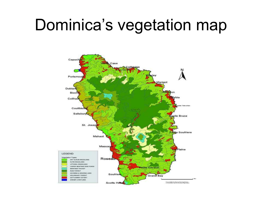#### Dominica's vegetation map

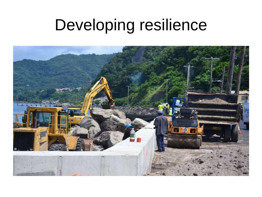# Developing resilience

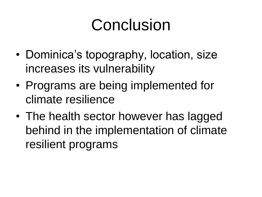#### Conclusion

- Dominica's topography, location, size increases its vulnerability
- Programs are being implemented for climate resilience
- The health sector however has lagged behind in the implementation of climate resilient programs